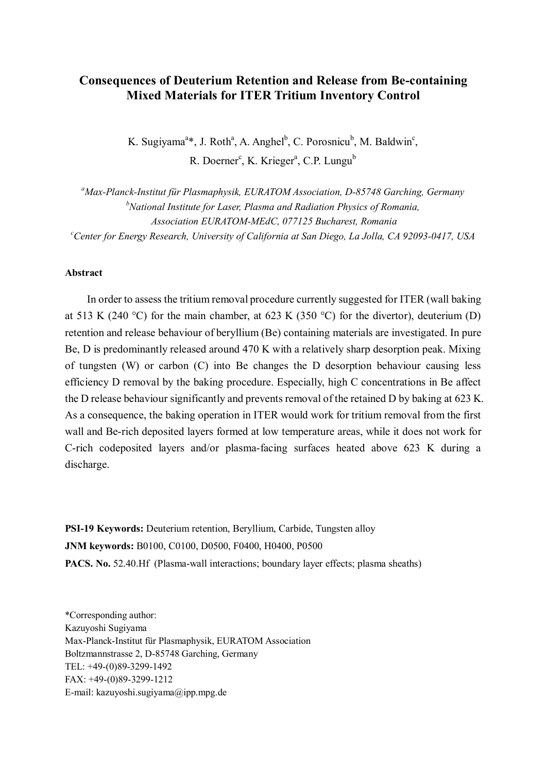# **Consequences of Deuterium Retention and Release from Be-containing Mixed Materials for ITER Tritium Inventory Control**

K. Sugiyama<sup>a\*</sup>, J. Roth<sup>a</sup>, A. Anghel<sup>b</sup>, C. Porosnicu<sup>b</sup>, M. Baldwin<sup>c</sup>, R. Doerner<sup>c</sup>, K. Krieger<sup>a</sup>, C.P. Lungu<sup>b</sup>

*<sup>a</sup>Max-Planck-Institut für Plasmaphysik, EURATOM Association, D-85748 Garching, Germany <sup>b</sup>National Institute for Laser, Plasma and Radiation Physics of Romania, Association EURATOM-MEdC, 077125 Bucharest, Romania <sup>c</sup>Center for Energy Research, University of California at San Diego, La Jolla, CA 92093-0417, USA*

#### **Abstract**

In order to assess the tritium removal procedure currently suggested for ITER (wall baking at 513 K (240 °C) for the main chamber, at 623 K (350 °C) for the divertor), deuterium (D) retention and release behaviour of beryllium (Be) containing materials are investigated. In pure Be, D is predominantly released around 470 K with a relatively sharp desorption peak. Mixing of tungsten (W) or carbon (C) into Be changes the D desorption behaviour causing less efficiency D removal by the baking procedure. Especially, high C concentrations in Be affect the D release behaviour significantly and prevents removal of the retained D by baking at 623 K. As a consequence, the baking operation in ITER would work for tritium removal from the first wall and Be-rich deposited layers formed at low temperature areas, while it does not work for C-rich codeposited layers and/or plasma-facing surfaces heated above 623 K during a discharge.

**PSI-19 Keywords:** Deuterium retention, Beryllium, Carbide, Tungsten alloy **JNM keywords:** B0100, C0100, D0500, F0400, H0400, P0500 **PACS. No.** 52.40.Hf (Plasma-wall interactions; boundary layer effects; plasma sheaths)

\*Corresponding author: Kazuyoshi Sugiyama Max-Planck-Institut für Plasmaphysik, EURATOM Association Boltzmannstrasse 2, D-85748 Garching, Germany TEL: +49-(0)89-3299-1492 FAX: +49-(0)89-3299-1212 E-mail: kazuyoshi.sugiyama@ipp.mpg.de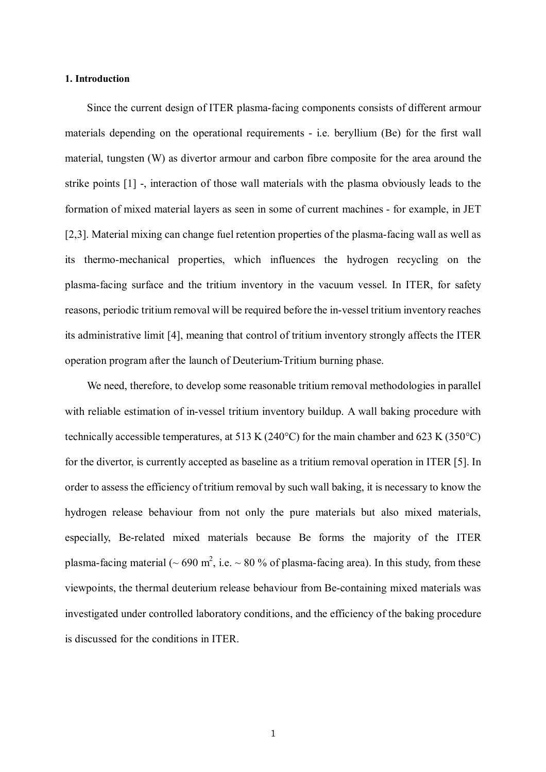#### **1. Introduction**

Since the current design of ITER plasma-facing components consists of different armour materials depending on the operational requirements - i.e. beryllium (Be) for the first wall material, tungsten (W) as divertor armour and carbon fibre composite for the area around the strike points [1] -, interaction of those wall materials with the plasma obviously leads to the formation of mixed material layers as seen in some of current machines - for example, in JET [2,3]. Material mixing can change fuel retention properties of the plasma-facing wall as well as its thermo-mechanical properties, which influences the hydrogen recycling on the plasma-facing surface and the tritium inventory in the vacuum vessel. In ITER, for safety reasons, periodic tritium removal will be required before the in-vessel tritium inventory reaches its administrative limit [4], meaning that control of tritium inventory strongly affects the ITER operation program after the launch of Deuterium-Tritium burning phase.

We need, therefore, to develop some reasonable tritium removal methodologies in parallel with reliable estimation of in-vessel tritium inventory buildup. A wall baking procedure with technically accessible temperatures, at 513 K (240°C) for the main chamber and 623 K (350°C) for the divertor, is currently accepted as baseline as a tritium removal operation in ITER [5]. In order to assess the efficiency of tritium removal by such wall baking, it is necessary to know the hydrogen release behaviour from not only the pure materials but also mixed materials, especially, Be-related mixed materials because Be forms the majority of the ITER plasma-facing material ( $\sim 690$  m<sup>2</sup>, i.e.  $\sim 80$  % of plasma-facing area). In this study, from these viewpoints, the thermal deuterium release behaviour from Be-containing mixed materials was investigated under controlled laboratory conditions, and the efficiency of the baking procedure is discussed for the conditions in ITER.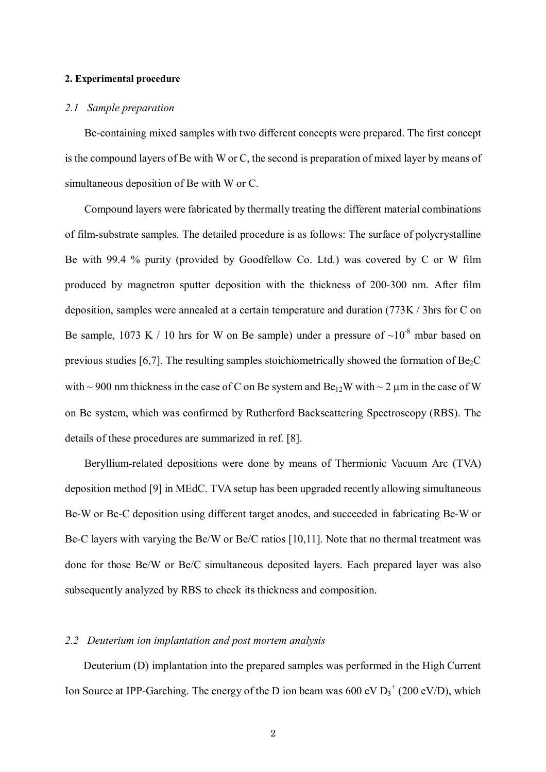### **2. Experimental procedure**

#### *2.1 Sample preparation*

Be-containing mixed samples with two different concepts were prepared. The first concept is the compound layers of Be with W or C, the second is preparation of mixed layer by means of simultaneous deposition of Be with W or C.

Compound layers were fabricated by thermally treating the different material combinations of film-substrate samples. The detailed procedure is as follows: The surface of polycrystalline Be with 99.4 % purity (provided by Goodfellow Co. Ltd.) was covered by C or W film produced by magnetron sputter deposition with the thickness of 200-300 nm. After film deposition, samples were annealed at a certain temperature and duration (773K / 3hrs for C on Be sample, 1073 K / 10 hrs for W on Be sample) under a pressure of  $\sim 10^{-8}$  mbar based on previous studies [6,7]. The resulting samples stoichiometrically showed the formation of  $Be<sub>2</sub>C$ with ~ 900 nm thickness in the case of C on Be system and  $Be_{12}W$  with ~ 2  $\mu$ m in the case of W on Be system, which was confirmed by Rutherford Backscattering Spectroscopy (RBS). The details of these procedures are summarized in ref. [8].

Beryllium-related depositions were done by means of Thermionic Vacuum Arc (TVA) deposition method [9] in MEdC. TVA setup has been upgraded recently allowing simultaneous Be-W or Be-C deposition using different target anodes, and succeeded in fabricating Be-W or Be-C layers with varying the Be/W or Be/C ratios [10,11]. Note that no thermal treatment was done for those Be/W or Be/C simultaneous deposited layers. Each prepared layer was also subsequently analyzed by RBS to check its thickness and composition.

### *2.2 Deuterium ion implantation and post mortem analysis*

Deuterium (D) implantation into the prepared samples was performed in the High Current Ion Source at IPP-Garching. The energy of the D ion beam was  $600 \text{ eV} D_3^+$  (200 eV/D), which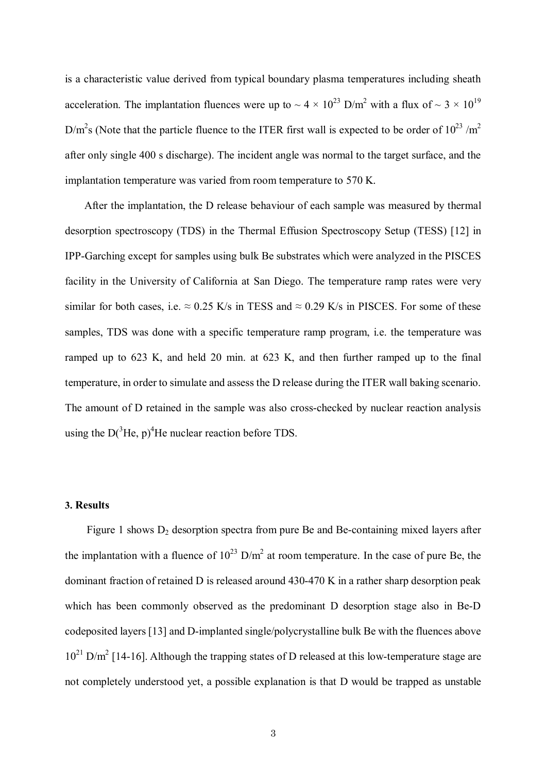is a characteristic value derived from typical boundary plasma temperatures including sheath acceleration. The implantation fluences were up to  $\sim 4 \times 10^{23}$  D/m<sup>2</sup> with a flux of  $\sim 3 \times 10^{19}$ D/m<sup>2</sup>s (Note that the particle fluence to the ITER first wall is expected to be order of  $10^{23}$  /m<sup>2</sup> after only single 400 s discharge). The incident angle was normal to the target surface, and the implantation temperature was varied from room temperature to 570 K.

After the implantation, the D release behaviour of each sample was measured by thermal desorption spectroscopy (TDS) in the Thermal Effusion Spectroscopy Setup (TESS) [12] in IPP-Garching except for samples using bulk Be substrates which were analyzed in the PISCES facility in the University of California at San Diego. The temperature ramp rates were very similar for both cases, i.e.  $\approx 0.25$  K/s in TESS and  $\approx 0.29$  K/s in PISCES. For some of these samples, TDS was done with a specific temperature ramp program, i.e. the temperature was ramped up to 623 K, and held 20 min. at 623 K, and then further ramped up to the final temperature, in order to simulate and assess the D release during the ITER wall baking scenario. The amount of D retained in the sample was also cross-checked by nuclear reaction analysis using the  $D(^{3}He, p)^{4}He$  nuclear reaction before TDS.

### **3. Results**

Figure 1 shows  $D_2$  desorption spectra from pure Be and Be-containing mixed layers after the implantation with a fluence of  $10^{23}$  D/m<sup>2</sup> at room temperature. In the case of pure Be, the dominant fraction of retained D is released around 430-470 K in a rather sharp desorption peak which has been commonly observed as the predominant D desorption stage also in Be-D codeposited layers [13] and D-implanted single/polycrystalline bulk Be with the fluences above  $10^{21}$  D/m<sup>2</sup> [14-16]. Although the trapping states of D released at this low-temperature stage are not completely understood yet, a possible explanation is that D would be trapped as unstable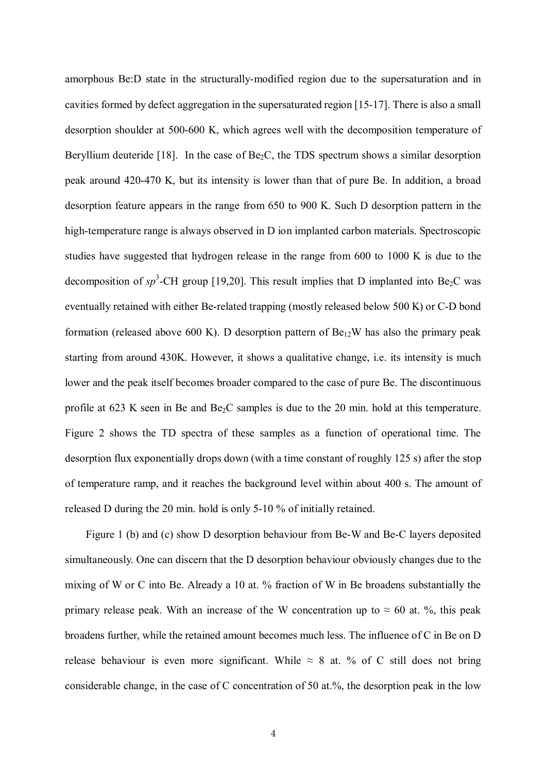amorphous Be:D state in the structurally-modified region due to the supersaturation and in cavities formed by defect aggregation in the supersaturated region [15-17]. There is also a small desorption shoulder at 500-600 K, which agrees well with the decomposition temperature of Beryllium deuteride [18]. In the case of  $Be<sub>2</sub>C$ , the TDS spectrum shows a similar desorption peak around 420-470 K, but its intensity is lower than that of pure Be. In addition, a broad desorption feature appears in the range from 650 to 900 K. Such D desorption pattern in the high-temperature range is always observed in D ion implanted carbon materials. Spectroscopic studies have suggested that hydrogen release in the range from 600 to 1000 K is due to the decomposition of  $sp^3$ -CH group [19,20]. This result implies that D implanted into Be<sub>2</sub>C was eventually retained with either Be-related trapping (mostly released below 500 K) or C-D bond formation (released above 600 K). D desorption pattern of  $Be_{12}W$  has also the primary peak starting from around 430K. However, it shows a qualitative change, i.e. its intensity is much lower and the peak itself becomes broader compared to the case of pure Be. The discontinuous profile at 623 K seen in Be and  $Be<sub>2</sub>C$  samples is due to the 20 min. hold at this temperature. Figure 2 shows the TD spectra of these samples as a function of operational time. The desorption flux exponentially drops down (with a time constant of roughly 125 s) after the stop of temperature ramp, and it reaches the background level within about 400 s. The amount of released D during the 20 min. hold is only 5-10 % of initially retained.

Figure 1 (b) and (c) show D desorption behaviour from Be-W and Be-C layers deposited simultaneously. One can discern that the D desorption behaviour obviously changes due to the mixing of W or C into Be. Already a 10 at. % fraction of W in Be broadens substantially the primary release peak. With an increase of the W concentration up to  $\approx 60$  at. %, this peak broadens further, while the retained amount becomes much less. The influence of C in Be on D release behaviour is even more significant. While  $\approx 8$  at. % of C still does not bring considerable change, in the case of C concentration of 50 at.%, the desorption peak in the low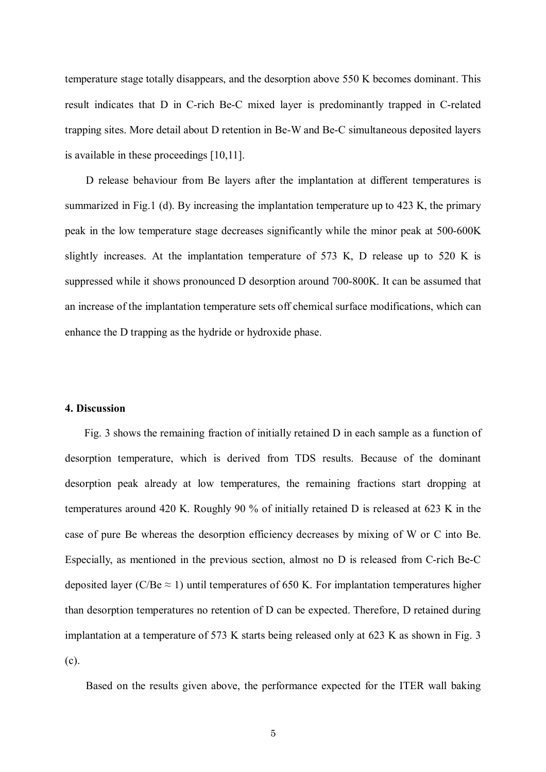temperature stage totally disappears, and the desorption above 550 K becomes dominant. This result indicates that D in C-rich Be-C mixed layer is predominantly trapped in C-related trapping sites. More detail about D retention in Be-W and Be-C simultaneous deposited layers is available in these proceedings [10,11].

D release behaviour from Be layers after the implantation at different temperatures is summarized in Fig.1 (d). By increasing the implantation temperature up to 423 K, the primary peak in the low temperature stage decreases significantly while the minor peak at 500-600K slightly increases. At the implantation temperature of 573 K, D release up to 520 K is suppressed while it shows pronounced D desorption around 700-800K. It can be assumed that an increase of the implantation temperature sets off chemical surface modifications, which can enhance the D trapping as the hydride or hydroxide phase.

# **4. Discussion**

Fig. 3 shows the remaining fraction of initially retained D in each sample as a function of desorption temperature, which is derived from TDS results. Because of the dominant desorption peak already at low temperatures, the remaining fractions start dropping at temperatures around 420 K. Roughly 90 % of initially retained D is released at 623 K in the case of pure Be whereas the desorption efficiency decreases by mixing of W or C into Be. Especially, as mentioned in the previous section, almost no D is released from C-rich Be-C deposited layer (C/Be  $\approx$  1) until temperatures of 650 K. For implantation temperatures higher than desorption temperatures no retention of D can be expected. Therefore, D retained during implantation at a temperature of 573 K starts being released only at 623 K as shown in Fig. 3 (c).

Based on the results given above, the performance expected for the ITER wall baking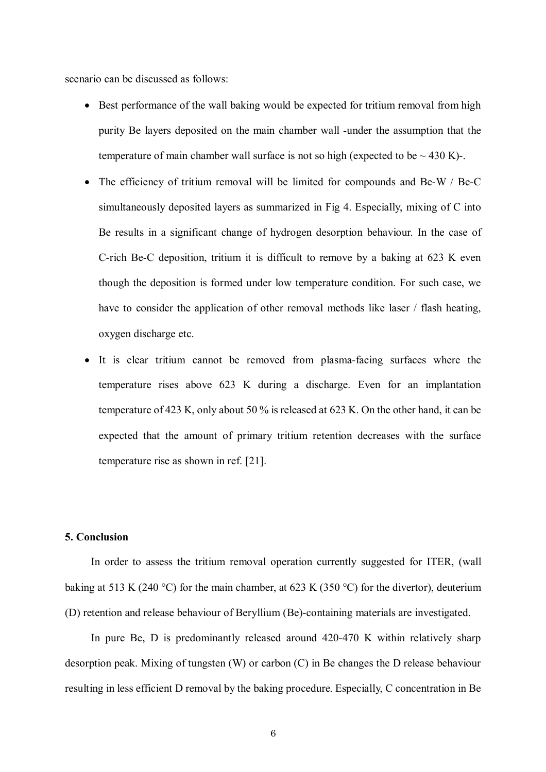scenario can be discussed as follows:

- Best performance of the wall baking would be expected for tritium removal from high purity Be layers deposited on the main chamber wall -under the assumption that the temperature of main chamber wall surface is not so high (expected to be  $\sim$  430 K)-.
- The efficiency of tritium removal will be limited for compounds and Be-W / Be-C simultaneously deposited layers as summarized in Fig 4. Especially, mixing of C into Be results in a significant change of hydrogen desorption behaviour. In the case of C-rich Be-C deposition, tritium it is difficult to remove by a baking at 623 K even though the deposition is formed under low temperature condition. For such case, we have to consider the application of other removal methods like laser / flash heating, oxygen discharge etc.
- It is clear tritium cannot be removed from plasma-facing surfaces where the temperature rises above 623 K during a discharge. Even for an implantation temperature of 423 K, only about 50 % is released at 623 K. On the other hand, it can be expected that the amount of primary tritium retention decreases with the surface temperature rise as shown in ref. [21].

# **5. Conclusion**

In order to assess the tritium removal operation currently suggested for ITER, (wall baking at 513 K (240 °C) for the main chamber, at 623 K (350 °C) for the divertor), deuterium (D) retention and release behaviour of Beryllium (Be)-containing materials are investigated.

In pure Be, D is predominantly released around 420-470 K within relatively sharp desorption peak. Mixing of tungsten (W) or carbon (C) in Be changes the D release behaviour resulting in less efficient D removal by the baking procedure. Especially, C concentration in Be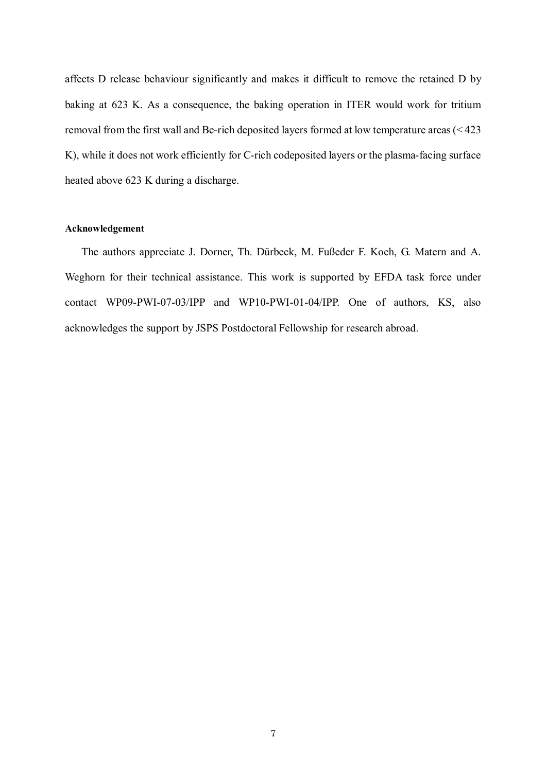affects D release behaviour significantly and makes it difficult to remove the retained D by baking at 623 K. As a consequence, the baking operation in ITER would work for tritium removal from the first wall and Be-rich deposited layers formed at low temperature areas (< 423 K), while it does not work efficiently for C-rich codeposited layers or the plasma-facing surface heated above 623 K during a discharge.

# **Acknowledgement**

The authors appreciate J. Dorner, Th. Dürbeck, M. Fußeder F. Koch, G. Matern and A. Weghorn for their technical assistance. This work is supported by EFDA task force under contact WP09-PWI-07-03/IPP and WP10-PWI-01-04/IPP. One of authors, KS, also acknowledges the support by JSPS Postdoctoral Fellowship for research abroad.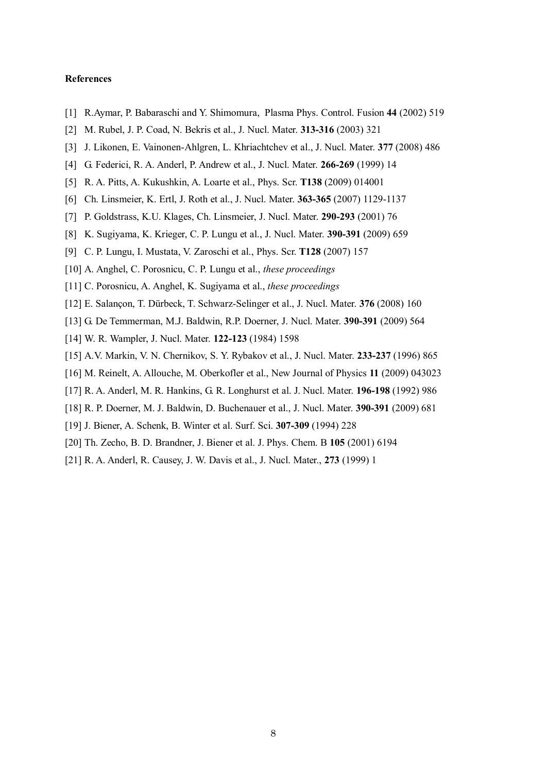#### **References**

- [1] R.Aymar, P. Babaraschi and Y. Shimomura, Plasma Phys. Control. Fusion **44** (2002) 519
- [2] M. Rubel, J. P. Coad, N. Bekris et al., J. Nucl. Mater. **313-316** (2003) 321
- [3] J. Likonen, E. Vainonen-Ahlgren, L. Khriachtchev et al., J. Nucl. Mater. **377** (2008) 486
- [4] G. Federici, R. A. Anderl, P. Andrew et al., J. Nucl. Mater. **266-269** (1999) 14
- [5] R. A. Pitts, A. Kukushkin, A. Loarte et al., Phys. Scr. **T138** (2009) 014001
- [6] Ch. Linsmeier, K. Ertl, J. Roth et al., J. Nucl. Mater. **363-365** (2007) 1129-1137
- [7] P. Goldstrass, K.U. Klages, Ch. Linsmeier, J. Nucl. Mater. **290-293** (2001) 76
- [8] K. Sugiyama, K. Krieger, C. P. Lungu et al., J. Nucl. Mater. **390-391** (2009) 659
- [9] C. P. Lungu, I. Mustata, V. Zaroschi et al., Phys. Scr. **T128** (2007) 157
- [10] A. Anghel, C. Porosnicu, C. P. Lungu et al., *these proceedings*
- [11] C. Porosnicu, A. Anghel, K. Sugiyama et al., *these proceedings*
- [12] E. Salançon, T. Dürbeck, T. Schwarz-Selinger et al., J. Nucl. Mater. **376** (2008) 160
- [13] G. De Temmerman, M.J. Baldwin, R.P. Doerner, J. Nucl. Mater. **390-391** (2009) 564
- [14] W. R. Wampler, J. Nucl. Mater. **122-123** (1984) 1598
- [15] A.V. Markin, V. N. Chernikov, S. Y. Rybakov et al., J. Nucl. Mater. **233-237** (1996) 865
- [16] M. Reinelt, A. Allouche, M. Oberkofler et al., New Journal of Physics **11** (2009) 043023
- [17] R. A. Anderl, M. R. Hankins, G. R. Longhurst et al. J. Nucl. Mater. **196-198** (1992) 986
- [18] R. P. Doerner, M. J. Baldwin, D. Buchenauer et al., J. Nucl. Mater. **390-391** (2009) 681
- [19] J. Biener, A. Schenk, B. Winter et al. Surf. Sci. **307-309** (1994) 228
- [20] Th. Zecho, B. D. Brandner, J. Biener et al. J. Phys. Chem. B **105** (2001) 6194
- [21] R. A. Anderl, R. Causey, J. W. Davis et al., J. Nucl. Mater., **273** (1999) 1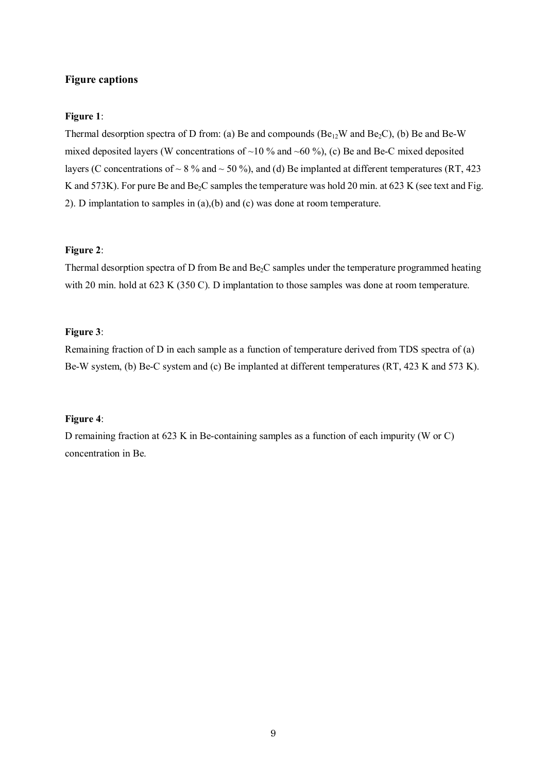# **Figure captions**

### **Figure 1**:

Thermal desorption spectra of D from: (a) Be and compounds  $(Be_{12}W$  and  $Be_{2}C)$ , (b) Be and Be-W mixed deposited layers (W concentrations of  $\sim$ 10 % and  $\sim$ 60 %), (c) Be and Be-C mixed deposited layers (C concentrations of  $\sim$  8 % and  $\sim$  50 %), and (d) Be implanted at different temperatures (RT, 423 K and 573K). For pure Be and Be<sub>2</sub>C samples the temperature was hold 20 min. at 623 K (see text and Fig. 2). D implantation to samples in (a),(b) and (c) was done at room temperature.

### **Figure 2**:

Thermal desorption spectra of D from Be and  $Be<sub>2</sub>C$  samples under the temperature programmed heating with 20 min. hold at 623 K (350 C). D implantation to those samples was done at room temperature.

# **Figure 3**:

Remaining fraction of D in each sample as a function of temperature derived from TDS spectra of (a) Be-W system, (b) Be-C system and (c) Be implanted at different temperatures (RT, 423 K and 573 K).

# **Figure 4**:

D remaining fraction at 623 K in Be-containing samples as a function of each impurity (W or C) concentration in Be.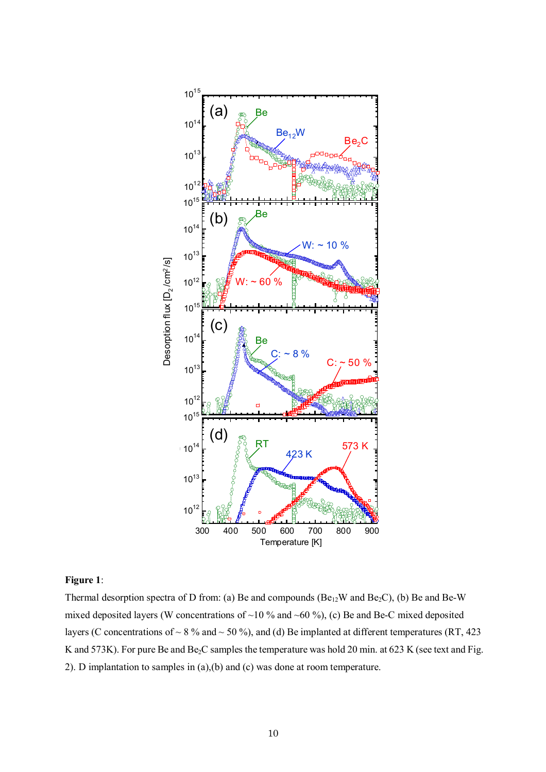

# **Figure 1**:

Thermal desorption spectra of D from: (a) Be and compounds  $(Be_{12}W$  and  $Be_2C$ ), (b) Be and Be-W mixed deposited layers (W concentrations of  $\sim$ 10 % and  $\sim$ 60 %), (c) Be and Be-C mixed deposited layers (C concentrations of  $\sim$  8 % and  $\sim$  50 %), and (d) Be implanted at different temperatures (RT, 423 K and 573K). For pure Be and Be<sub>2</sub>C samples the temperature was hold 20 min. at 623 K (see text and Fig. 2). D implantation to samples in (a),(b) and (c) was done at room temperature.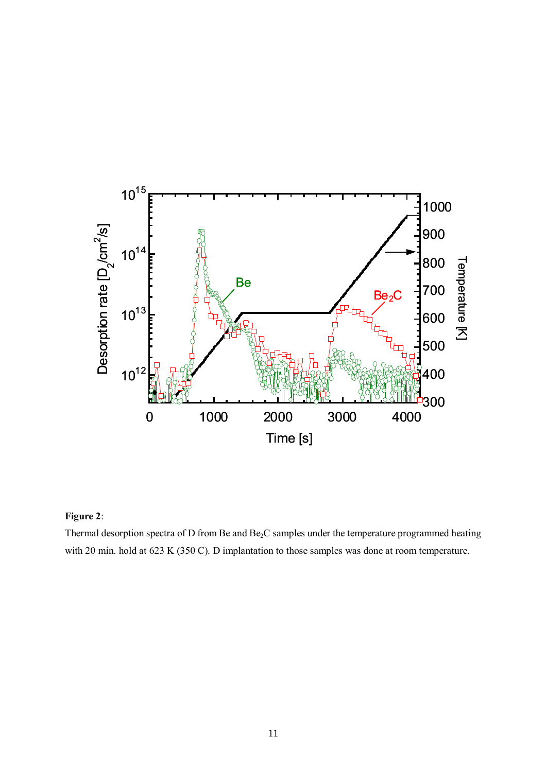

# **Figure 2**:

Thermal desorption spectra of D from Be and Be<sub>2</sub>C samples under the temperature programmed heating with 20 min. hold at 623 K (350 C). D implantation to those samples was done at room temperature.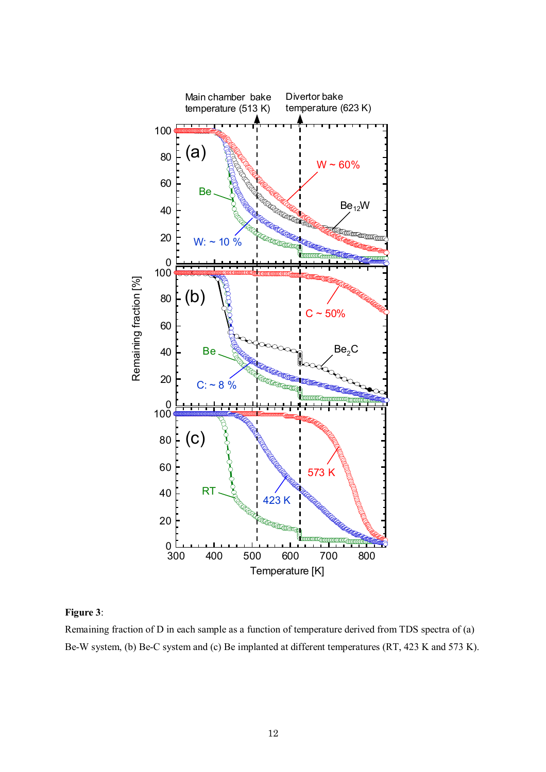

# **Figure 3**:

Remaining fraction of D in each sample as a function of temperature derived from TDS spectra of (a) Be-W system, (b) Be-C system and (c) Be implanted at different temperatures (RT, 423 K and 573 K).